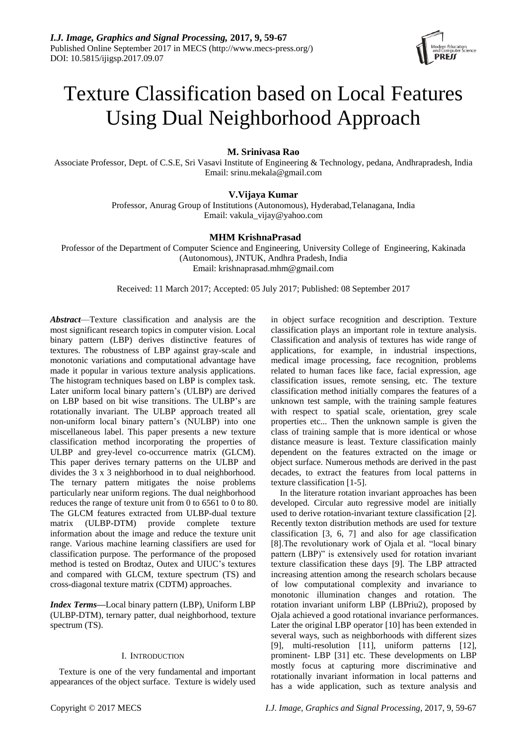

# Texture Classification based on Local Features Using Dual Neighborhood Approach

# **M. Srinivasa Rao**

Associate Professor, Dept. of C.S.E, Sri Vasavi Institute of Engineering & Technology, pedana, Andhrapradesh, India Email: srinu.mekala@gmail.com

# **V.Vijaya Kumar**

Professor, Anurag Group of Institutions (Autonomous), Hyderabad,Telanagana, India Email: vakula\_vijay@yahoo.com

# **MHM KrishnaPrasad**

Professor of the Department of Computer Science and Engineering, University College of Engineering, Kakinada (Autonomous), JNTUK, Andhra Pradesh, India Email: krishnaprasad.mhm@gmail.com

Received: 11 March 2017; Accepted: 05 July 2017; Published: 08 September 2017

*Abstract*—Texture classification and analysis are the most significant research topics in computer vision. Local binary pattern (LBP) derives distinctive features of textures. The robustness of LBP against gray-scale and monotonic variations and computational advantage have made it popular in various texture analysis applications. The histogram techniques based on LBP is complex task. Later uniform local binary pattern's (ULBP) are derived on LBP based on bit wise transitions. The ULBP's are rotationally invariant. The ULBP approach treated all non-uniform local binary pattern's (NULBP) into one miscellaneous label. This paper presents a new texture classification method incorporating the properties of ULBP and grey-level co-occurrence matrix (GLCM). This paper derives ternary patterns on the ULBP and divides the 3 x 3 neighborhood in to dual neighborhood. The ternary pattern mitigates the noise problems particularly near uniform regions. The dual neighborhood reduces the range of texture unit from 0 to 6561 to 0 to 80. The GLCM features extracted from ULBP-dual texture matrix (ULBP-DTM) provide complete texture information about the image and reduce the texture unit range. Various machine learning classifiers are used for classification purpose. The performance of the proposed method is tested on Brodtaz, Outex and UIUC's textures and compared with GLCM, texture spectrum (TS) and cross-diagonal texture matrix (CDTM) approaches.

*Index Terms***—**Local binary pattern (LBP), Uniform LBP (ULBP-DTM), ternary patter, dual neighborhood, texture spectrum (TS).

# I. INTRODUCTION

Texture is one of the very fundamental and important appearances of the object surface. Texture is widely used in object surface recognition and description. Texture classification plays an important role in texture analysis. Classification and analysis of textures has wide range of applications, for example, in industrial inspections, medical image processing, face recognition, problems related to human faces like face, facial expression, age classification issues, remote sensing, etc. The texture classification method initially compares the features of a unknown test sample, with the training sample features with respect to spatial scale, orientation, grey scale properties etc... Then the unknown sample is given the class of training sample that is more identical or whose distance measure is least. Texture classification mainly dependent on the features extracted on the image or object surface. Numerous methods are derived in the past decades, to extract the features from local patterns in texture classification [1-5].

In the literature rotation invariant approaches has been developed. Circular auto regressive model are initially used to derive rotation-invariant texture classification [2]. Recently texton distribution methods are used for texture classification [3, 6, 7] and also for age classification [8].The revolutionary work of Ojala et al. "local binary pattern (LBP)" is extensively used for rotation invariant texture classification these days [9]. The LBP attracted increasing attention among the research scholars because of low computational complexity and invariance to monotonic illumination changes and rotation. The rotation invariant uniform LBP (LBPriu2), proposed by Ojala achieved a good rotational invariance performances. Later the original LBP operator [10] has been extended in several ways, such as neighborhoods with different sizes [9], multi-resolution [11], uniform patterns [12], prominent- LBP [31] etc. These developments on LBP mostly focus at capturing more discriminative and rotationally invariant information in local patterns and has a wide application, such as texture analysis and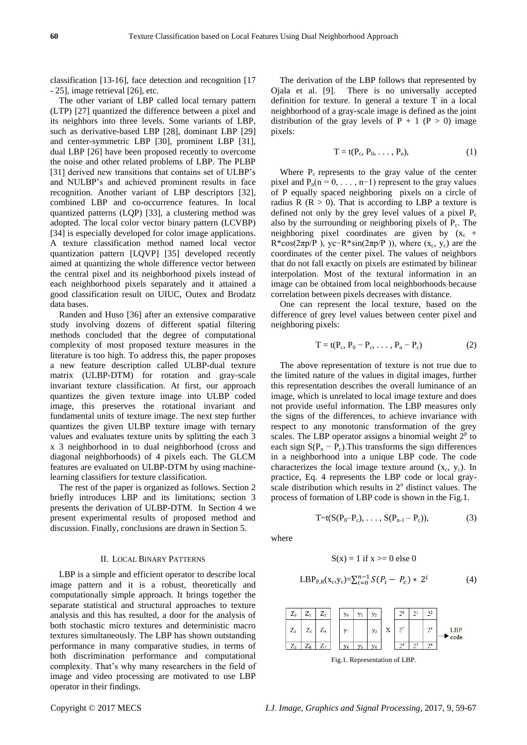classification [13-16], face detection and recognition [17 - 25], image retrieval [26], etc.

The other variant of LBP called local ternary pattern (LTP) [27] quantized the difference between a pixel and its neighbors into three levels. Some variants of LBP, such as derivative-based LBP [28], dominant LBP [29] and center-symmetric LBP [30], prominent LBP [31], dual LBP [26] have been proposed recently to overcome the noise and other related problems of LBP. The PLBP [31] derived new transitions that contains set of ULBP's and NULBP's and achieved prominent results in face recognition. Another variant of LBP descriptors [32], combined LBP and co-occurrence features. In local quantized patterns (LQP) [33], a clustering method was adopted. The local color vector binary pattern (LCVBP) [34] is especially developed for color image applications. A texture classification method named local vector quantization pattern [LQVP] [35] developed recently aimed at quantizing the whole difference vector between the central pixel and its neighborhood pixels instead of each neighborhood pixels separately and it attained a good classification result on UIUC, Outex and Brodatz data bases.

Randen and Huso [36] after an extensive comparative study involving dozens of different spatial filtering methods concluded that the degree of computational complexity of most proposed texture measures in the literature is too high. To address this, the paper proposes a new feature description called ULBP-dual texture matrix (ULBP-DTM) for rotation and gray-scale invariant texture classification. At first, our approach quantizes the given texture image into ULBP coded image, this preserves the rotational invariant and fundamental units of texture image. The next step further quantizes the given ULBP texture image with ternary values and evaluates texture units by splitting the each 3 x 3 neighborhood in to dual neighborhood (cross and diagonal neighborhoods) of 4 pixels each. The GLCM features are evaluated on ULBP-DTM by using machinelearning classifiers for texture classification.

The rest of the paper is organized as follows. Section 2 briefly introduces LBP and its limitations; section 3 presents the derivation of ULBP-DTM. In Section 4 we present experimental results of proposed method and discussion. Finally, conclusions are drawn in Section 5.

## II. LOCAL BINARY PATTERNS

LBP is a simple and efficient operator to describe local image pattern and it is a robust, theoretically and computationally simple approach. It brings together the separate statistical and structural approaches to texture analysis and this has resulted, a door for the analysis of both stochastic micro textures and deterministic macro textures simultaneously. The LBP has shown outstanding performance in many comparative studies, in terms of both discrimination performance and computational complexity. That's why many researchers in the field of image and video processing are motivated to use LBP operator in their findings.

The derivation of the LBP follows that represented by Ojala et al. [9]. There is no universally accepted definition for texture. In general a texture T in a local neighborhood of a gray-scale image is defined as the joint distribution of the gray levels of  $P + 1$  ( $P > 0$ ) image pixels:

$$
T = t(P_c, P_0, \ldots, P_n), \qquad (1)
$$

Where  $P_c$  represents to the gray value of the center pixel and  $P_n(n = 0, \ldots, n-1)$  represent to the gray values of P equally spaced neighboring pixels on a circle of radius R ( $R > 0$ ). That is according to LBP a texture is defined not only by the grey level values of a pixel  $P_c$ also by the surrounding or neighboring pixels of  $P_c$ . The neighboring pixel coordinates are given by  $(x_c +$ R\*cos( $2\pi p/P$ ), yc-R\*sin( $2\pi p/P$ )), where (x<sub>c</sub>, y<sub>c</sub>) are the coordinates of the center pixel. The values of neighbors that do not fall exactly on pixels are estimated by bilinear interpolation. Most of the textural information in an image can be obtained from local neighborhoods because correlation between pixels decreases with distance.

One can represent the local texture, based on the difference of grey level values between center pixel and neighboring pixels:

$$
T = t(P_c, P_0 - P_c, \dots, P_n - P_c)
$$
 (2)

The above representation of texture is not true due to the limited nature of the values in digital images, further this representation describes the overall luminance of an image, which is unrelated to local image texture and does not provide useful information. The LBP measures only the signs of the differences, to achieve invariance with respect to any monotonic transformation of the grey scales. The LBP operator assigns a binomial weight  $2<sup>p</sup>$  to each sign  $S(P_n - P_c)$ . This transforms the sign differences in a neighborhood into a unique LBP code. The code characterizes the local image texture around  $(x_c, y_c)$ . In practice, Eq. 4 represents the LBP code or local grayscale distribution which results in  $2<sup>n</sup>$  distinct values. The process of formation of LBP code is shown in the Fig.1.

$$
T \sim t(S(P_0 - P_c), \ldots, S(P_{n-1} - P_c)), \tag{3}
$$

where

$$
S(x) = 1 \text{ if } x > = 0 \text{ else } 0
$$
  
LBP<sub>P,R</sub>(x<sub>c</sub>,y<sub>c</sub>) =  $\sum_{i=0}^{n-1} S(P_i - P_c) * 2^i$  (4)



Fig.1. Representation of LBP.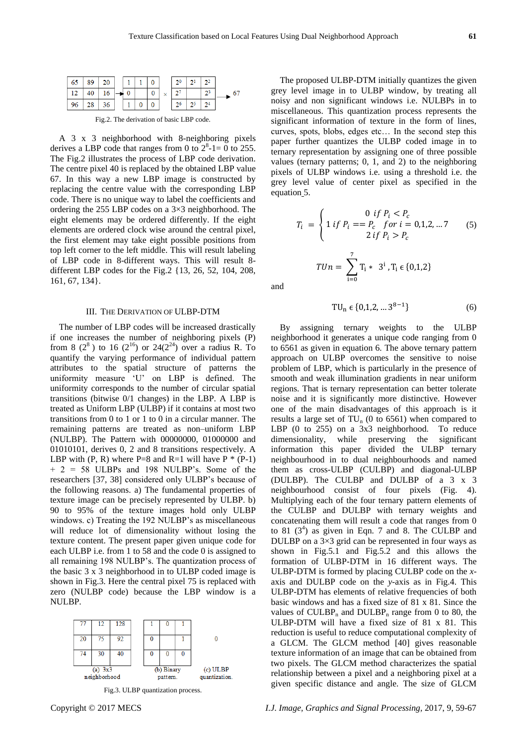| 65         | 89 | $20-1$            |  |   | 2 <sup>0</sup> |       |    |
|------------|----|-------------------|--|---|----------------|-------|----|
| $\vert$ 12 | 40 | 16                |  | 0 | $2^7$          | $2^3$ | 67 |
| $\vert$ 96 |    | $28 \mid 36 \mid$ |  |   | 2 <sup>6</sup> |       |    |
|            |    |                   |  |   |                |       |    |

Fig.2. The derivation of basic LBP code.

A 3 x 3 neighborhood with 8-neighboring pixels derives a LBP code that ranges from 0 to  $2^8$ -1= 0 to 255. The Fig.2 illustrates the process of LBP code derivation. The centre pixel 40 is replaced by the obtained LBP value 67. In this way a new LBP image is constructed by replacing the centre value with the corresponding LBP code. There is no unique way to label the coefficients and ordering the 255 LBP codes on a  $3\times3$  neighborhood. The eight elements may be ordered differently. If the eight elements are ordered clock wise around the central pixel, the first element may take eight possible positions from top left corner to the left middle. This will result labeling of LBP code in 8-different ways. This will result 8 different LBP codes for the Fig.2 {13, 26, 52, 104, 208, 161, 67, 134}.

## III. THE DERIVATION OF ULBP-DTM

The number of LBP codes will be increased drastically if one increases the number of neighboring pixels (P) from 8 ( $2^8$ ) to 16 ( $2^{16}$ ) or 24( $2^{24}$ ) over a radius R. To quantify the varying performance of individual pattern attributes to the spatial structure of patterns the uniformity measure 'U' on LBP is defined. The uniformity corresponds to the number of circular spatial transitions (bitwise 0/1 changes) in the LBP. A LBP is treated as Uniform LBP (ULBP) if it contains at most two transitions from 0 to 1 or 1 to 0 in a circular manner. The remaining patterns are treated as non–uniform LBP (NULBP). The Pattern with 00000000, 01000000 and 01010101, derives 0, 2 and 8 transitions respectively. A LBP with  $(P, R)$  where P=8 and R=1 will have P  $*$  (P-1) + 2 = 58 ULBPs and 198 NULBP's. Some of the researchers [37, 38] considered only ULBP's because of the following reasons. a) The fundamental properties of texture image can be precisely represented by ULBP. b) 90 to 95% of the texture images hold only ULBP windows. c) Treating the 192 NULBP's as miscellaneous will reduce lot of dimensionality without losing the texture content. The present paper given unique code for each ULBP i.e. from 1 to 58 and the code 0 is assigned to all remaining 198 NULBP's. The quantization process of the basic 3 x 3 neighborhood in to ULBP coded image is shown in Fig.3. Here the central pixel 75 is replaced with zero (NULBP code) because the LBP window is a NULBP.



Fig.3. ULBP quantization process.

The proposed ULBP-DTM initially quantizes the given grey level image in to ULBP window, by treating all noisy and non significant windows i.e. NULBPs in to miscellaneous. This quantization process represents the significant information of texture in the form of lines, curves, spots, blobs, edges etc… In the second step this paper further quantizes the ULBP coded image in to ternary representation by assigning one of three possible values (ternary patterns; 0, 1, and 2) to the neighboring pixels of ULBP windows i.e. using a threshold i.e. the grey level value of center pixel as specified in the equation 5.

$$
T_i = \begin{cases} 0 & \text{if } P_i < P_c \\ 1 & \text{if } P_i = P_c & \text{for } i = 0, 1, 2, \dots, 7 \\ 2 & \text{if } P_i > P_c \end{cases} \tag{5}
$$
\n
$$
TUn = \sum_{i=0}^{7} T_i * 3^i, T_i \in \{0, 1, 2\}
$$

and

$$
TU_n \in \{0, 1, 2, \dots 3^{8-1}\}\tag{6}
$$

By assigning ternary weights to the ULBP neighborhood it generates a unique code ranging from 0 to 6561 as given in equation 6. The above ternary pattern approach on ULBP overcomes the sensitive to noise problem of LBP, which is particularly in the presence of smooth and weak illumination gradients in near uniform regions. That is ternary representation can better tolerate noise and it is significantly more distinctive. However one of the main disadvantages of this approach is it results a large set of  $TU_n$  (0 to 6561) when compared to LBP (0 to 255) on a 3x3 neighborhood. To reduce dimensionality, while preserving the significant information this paper divided the ULBP ternary neighbourhood in to dual neighbourhoods and named them as cross-ULBP (CULBP) and diagonal-ULBP (DULBP). The CULBP and DULBP of a 3 x 3 neighbourhood consist of four pixels (Fig. 4). Multiplying each of the four ternary pattern elements of the CULBP and DULBP with ternary weights and concatenating them will result a code that ranges from 0 to 81  $(3^4)$  as given in Eqn. 7 and 8. The CULBP and DULBP on a  $3 \times 3$  grid can be represented in four ways as shown in Fig.5.1 and Fig.5.2 and this allows the formation of ULBP-DTM in 16 different ways. The ULBP-DTM is formed by placing CULBP code on the *x*axis and DULBP code on the *y*-axis as in Fig.4. This ULBP-DTM has elements of relative frequencies of both basic windows and has a fixed size of 81 x 81. Since the values of CULBP<sub>n</sub> and DULBP<sub>n</sub> range from 0 to 80, the ULBP-DTM will have a fixed size of 81 x 81. This reduction is useful to reduce computational complexity of a GLCM. The GLCM method [40] gives reasonable texture information of an image that can be obtained from two pixels. The GLCM method characterizes the spatial relationship between a pixel and a neighboring pixel at a given specific distance and angle. The size of GLCM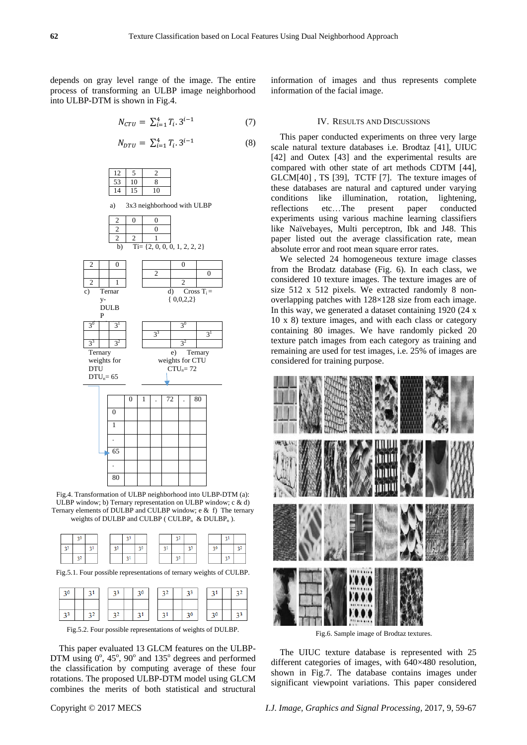depends on gray level range of the image. The entire process of transforming an ULBP image neighborhood into ULBP-DTM is shown in Fig.4.

$$
N_{CTU} = \sum_{i=1}^{4} T_i \cdot 3^{i-1} \tag{7}
$$

$$
N_{DTU} = \sum_{i=1}^{4} T_i \cdot 3^{i-1} \tag{8}
$$

|  | 8 |
|--|---|
|  |   |

a) 3x3 neighborhood with ULBP



Fig.4. Transformation of ULBP neighborhood into ULBP-DTM (a): ULBP window; b) Ternary representation on ULBP window; c & d) Ternary elements of DULBP and CULBP window; e & f) The ternary weights of DULBP and CULBP (  $CULBP_n$  & DULBP<sub>n</sub>).

|    | 20             |    |             | 2 <sup>3</sup> |    |        | $\sim$<br>--<br>٠ |    |    |    |    |
|----|----------------|----|-------------|----------------|----|--------|-------------------|----|----|----|----|
| 23 |                | 21 | $-27$<br>44 |                | 20 | $\sim$ |                   | 23 | 20 |    | 22 |
|    | 2 <sup>2</sup> |    |             | ÷<br>          |    |        | 30                |    |    | 23 |    |

Fig.5.1. Four possible representations of ternary weights of CULBP.

| 3 <sup>0</sup> |  |     |  |  |    |    |  |
|----------------|--|-----|--|--|----|----|--|
|                |  |     |  |  |    |    |  |
|                |  | -22 |  |  | 20 | 20 |  |

Fig.5.2. Four possible representations of weights of DULBP.

This paper evaluated 13 GLCM features on the ULBP-DTM using  $0^\circ$ , 45°, 90° and 135° degrees and performed the classification by computing average of these four rotations. The proposed ULBP-DTM model using GLCM combines the merits of both statistical and structural

information of images and thus represents complete information of the facial image.

## IV. RESULTS AND DISCUSSIONS

This paper conducted experiments on three very large scale natural texture databases i.e. Brodtaz [41], UIUC [42] and Outex [43] and the experimental results are compared with other state of art methods CDTM [44], GLCM[40] , TS [39], TCTF [7]. The texture images of these databases are natural and captured under varying conditions like illumination, rotation, lightening, reflections etc…The present paper conducted experiments using various machine learning classifiers like Naïvebayes, Multi perceptron, Ibk and J48. This paper listed out the average classification rate, mean absolute error and root mean square error rates.

We selected 24 homogeneous texture image classes from the Brodatz database (Fig. 6). In each class, we considered 10 texture images. The texture images are of size 512 x 512 pixels. We extracted randomly 8 nonoverlapping patches with 128×128 size from each image. In this way, we generated a dataset containing 1920 (24 x 10 x 8) texture images, and with each class or category containing 80 images. We have randomly picked 20 texture patch images from each category as training and remaining are used for test images, i.e. 25% of images are considered for training purpose.



Fig.6. Sample image of Brodtaz textures.

The UIUC texture database is represented with 25 different categories of images, with 640×480 resolution, shown in Fig.7. The database contains images under significant viewpoint variations. This paper considered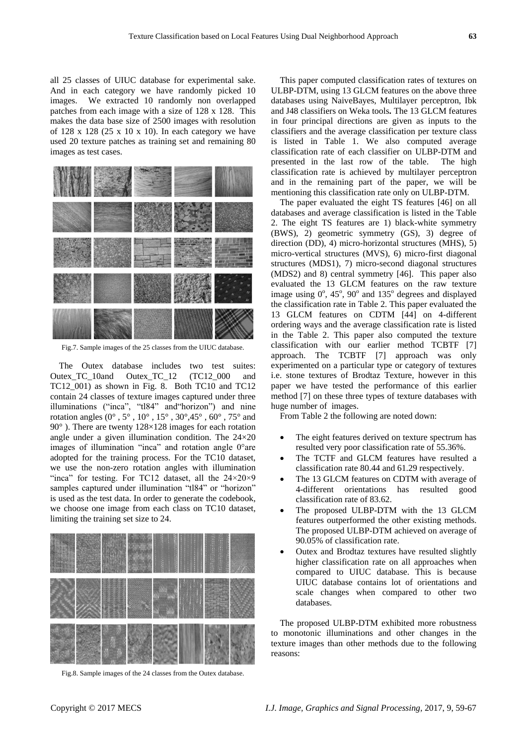all 25 classes of UIUC database for experimental sake. And in each category we have randomly picked 10 images. We extracted 10 randomly non overlapped patches from each image with a size of 128 x 128. This makes the data base size of 2500 images with resolution of 128 x 128 (25 x 10 x 10). In each category we have used 20 texture patches as training set and remaining 80 images as test cases.



Fig.7. Sample images of the 25 classes from the UIUC database.

The Outex database includes two test suites: Outex TC\_10and Outex TC\_12 (TC12\_000 and TC12\_001) as shown in Fig. 8. Both TC10 and TC12 contain 24 classes of texture images captured under three illuminations ("inca", "tl84" and"horizon") and nine rotation angles  $(0^\circ, 5^\circ, 10^\circ, 15^\circ, 30^\circ, 45^\circ, 60^\circ, 75^\circ)$  and 90 $^{\circ}$ ). There are twenty 128×128 images for each rotation angle under a given illumination condition. The  $24\times20$ images of illumination "inca" and rotation angle 0°are adopted for the training process. For the TC10 dataset, we use the non-zero rotation angles with illumination "inca" for testing. For TC12 dataset, all the  $24 \times 20 \times 9$ samples captured under illumination "tl84" or "horizon" is used as the test data. In order to generate the codebook, we choose one image from each class on TC10 dataset, limiting the training set size to 24.



Fig.8. Sample images of the 24 classes from the Outex database.

This paper computed classification rates of textures on ULBP-DTM, using 13 GLCM features on the above three databases using NaiveBayes, Multilayer perceptron, Ibk and J48 classifiers on Weka tools**.** The 13 GLCM features in four principal directions are given as inputs to the classifiers and the average classification per texture class is listed in Table 1. We also computed average classification rate of each classifier on ULBP-DTM and presented in the last row of the table. The high classification rate is achieved by multilayer perceptron and in the remaining part of the paper, we will be mentioning this classification rate only on ULBP-DTM.

The paper evaluated the eight TS features [46] on all databases and average classification is listed in the Table 2. The eight TS features are 1) black-white symmetry (BWS), 2) geometric symmetry (GS), 3) degree of direction (DD), 4) micro-horizontal structures (MHS), 5) micro-vertical structures (MVS), 6) micro-first diagonal structures (MDS1), 7) micro-second diagonal structures (MDS2) and 8) central symmetry [46]. This paper also evaluated the 13 GLCM features on the raw texture image using  $0^\circ$ ,  $45^\circ$ ,  $90^\circ$  and  $135^\circ$  degrees and displayed the classification rate in Table 2. This paper evaluated the 13 GLCM features on CDTM [44] on 4-different ordering ways and the average classification rate is listed in the Table 2. This paper also computed the texture classification with our earlier method TCBTF [7] approach. The TCBTF [7] approach was only experimented on a particular type or category of textures i.e. stone textures of Brodtaz Texture, however in this paper we have tested the performance of this earlier method [7] on these three types of texture databases with huge number of images.

From Table 2 the following are noted down:

- The eight features derived on texture spectrum has resulted very poor classification rate of 55.36%.
- The TCTF and GLCM features have resulted a classification rate 80.44 and 61.29 respectively.
- The 13 GLCM features on CDTM with average of 4-different orientations has resulted good classification rate of 83.62.
- The proposed ULBP-DTM with the 13 GLCM features outperformed the other existing methods. The proposed ULBP-DTM achieved on average of 90.05% of classification rate.
- Outex and Brodtaz textures have resulted slightly higher classification rate on all approaches when compared to UIUC database. This is because UIUC database contains lot of orientations and scale changes when compared to other two databases.

The proposed ULBP-DTM exhibited more robustness to monotonic illuminations and other changes in the texture images than other methods due to the following reasons: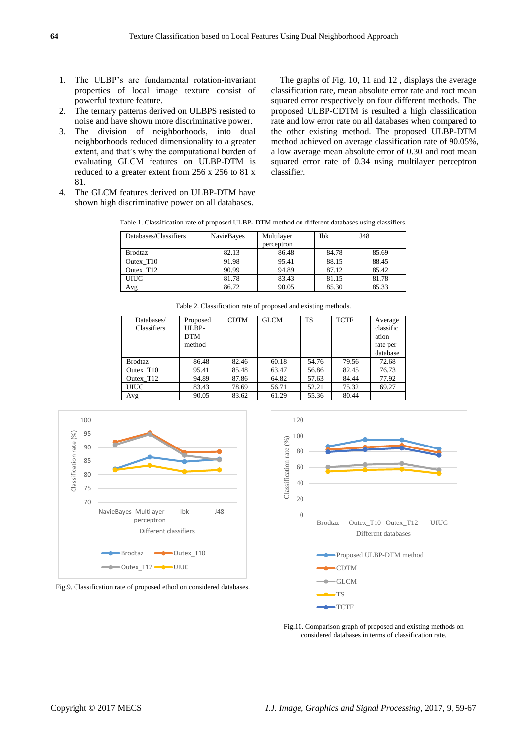- 1. The ULBP's are fundamental rotation-invariant properties of local image texture consist of powerful texture feature.
- 2. The ternary patterns derived on ULBPS resisted to noise and have shown more discriminative power.
- 3. The division of neighborhoods, into dual neighborhoods reduced dimensionality to a greater extent, and that's why the computational burden of evaluating GLCM features on ULBP-DTM is reduced to a greater extent from 256 x 256 to 81 x 81.

4. The GLCM features derived on ULBP-DTM have shown high discriminative power on all databases.

The graphs of Fig. 10, 11 and 12 , displays the average classification rate, mean absolute error rate and root mean squared error respectively on four different methods. The proposed ULBP-CDTM is resulted a high classification rate and low error rate on all databases when compared to the other existing method. The proposed ULBP-DTM method achieved on average classification rate of 90.05%, a low average mean absolute error of 0.30 and root mean squared error rate of 0.34 using multilayer perceptron classifier.

Table 1. Classification rate of proposed ULBP- DTM method on different databases using classifiers.

| Databases/Classifiers | <b>NavieBayes</b> | Multilayer | Ibk   | J48   |  |
|-----------------------|-------------------|------------|-------|-------|--|
|                       |                   | perceptron |       |       |  |
| <b>Brodtaz</b>        | 82.13             | 86.48      | 84.78 | 85.69 |  |
| Outex T <sub>10</sub> | 91.98             | 95.41      | 88.15 | 88.45 |  |
| Outex T <sub>12</sub> | 90.99             | 94.89      | 87.12 | 85.42 |  |
| <b>UIUC</b>           | 81.78             | 83.43      | 81.15 | 81.78 |  |
| Avg                   | 86.72             | 90.05      | 85.30 | 85.33 |  |

| Databases/            | Proposed   | <b>CDTM</b> | <b>GLCM</b> | <b>TS</b> | <b>TCTF</b> | Average   |
|-----------------------|------------|-------------|-------------|-----------|-------------|-----------|
| <b>Classifiers</b>    | ULBP-      |             |             |           |             | classific |
|                       | <b>DTM</b> |             |             |           |             | ation     |
|                       | method     |             |             |           |             | rate per  |
|                       |            |             |             |           |             | database  |
| <b>Brodtaz</b>        | 86.48      | 82.46       | 60.18       | 54.76     | 79.56       | 72.68     |
| Outex T <sub>10</sub> | 95.41      | 85.48       | 63.47       | 56.86     | 82.45       | 76.73     |
| Outex T <sub>12</sub> | 94.89      | 87.86       | 64.82       | 57.63     | 84.44       | 77.92     |
| <b>UIUC</b>           | 83.43      | 78.69       | 56.71       | 52.21     | 75.32       | 69.27     |
| Avg                   | 90.05      | 83.62       | 61.29       | 55.36     | 80.44       |           |
|                       |            |             |             |           |             |           |

Table 2. Classification rate of proposed and existing methods.







Fig.10. Comparison graph of proposed and existing methods on considered databases in terms of classification rate.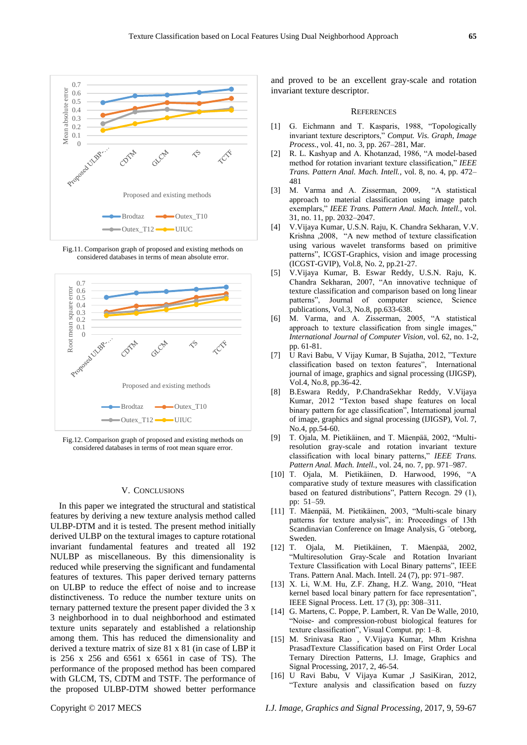

Fig.11. Comparison graph of proposed and existing methods on considered databases in terms of mean absolute error.



Fig.12. Comparison graph of proposed and existing methods on considered databases in terms of root mean square error.

## V. CONCLUSIONS

In this paper we integrated the structural and statistical features by deriving a new texture analysis method called ULBP-DTM and it is tested. The present method initially derived ULBP on the textural images to capture rotational invariant fundamental features and treated all 192 NULBP as miscellaneous. By this dimensionality is reduced while preserving the significant and fundamental features of textures. This paper derived ternary patterns on ULBP to reduce the effect of noise and to increase distinctiveness. To reduce the number texture units on ternary patterned texture the present paper divided the 3 x 3 neighborhood in to dual neighborhood and estimated texture units separately and established a relationship among them. This has reduced the dimensionality and derived a texture matrix of size 81 x 81 (in case of LBP it is 256 x 256 and 6561 x 6561 in case of TS). The performance of the proposed method has been compared with GLCM, TS, CDTM and TSTF. The performance of the proposed ULBP-DTM showed better performance and proved to be an excellent gray-scale and rotation invariant texture descriptor.

#### **REFERENCES**

- [1] G. Eichmann and T. Kasparis, 1988, "Topologically invariant texture descriptors," *Comput. Vis. Graph, Image Process.*, vol. 41, no. 3, pp. 267–281, Mar.
- [2] R. L. Kashyap and A. Khotanzad, 1986, "A model-based method for rotation invariant texture classification," *IEEE Trans. Pattern Anal. Mach. Intell.*, vol. 8, no. 4, pp. 472– 481
- [3] M. Varma and A. Zisserman, 2009, "A statistical approach to material classification using image patch exemplars," *IEEE Trans. Pattern Anal. Mach. Intell.*, vol. 31, no. 11, pp. 2032–2047.
- [4] V.Vijaya Kumar, U.S.N. Raju, K. Chandra Sekharan, V.V. Krishna ,2008, "A new method of texture classification using various wavelet transforms based on primitive patterns", ICGST-Graphics, vision and image processing (ICGST-GVIP), Vol.8, No. 2, pp.21-27.
- [5] V.Vijaya Kumar, B. Eswar Reddy, U.S.N. Raju, K. Chandra Sekharan, 2007, "An innovative technique of texture classification and comparison based on long linear patterns", Journal of computer science, Science publications, Vol.3, No.8, pp.633-638.
- [6] M. Varma, and A. Zisserman, 2005, "A statistical approach to texture classification from single images," *International Journal of Computer Vision*, vol. 62, no. 1-2, pp. 61-81.
- [7] U Ravi Babu, V Vijay Kumar, B Sujatha, 2012, "Texture classification based on texton features", International journal of image, graphics and signal processing (IJIGSP)*,*  Vol.4, No.8, pp.36-42.
- [8] B.Eswara Reddy, P.ChandraSekhar Reddy, V.Vijaya Kumar, 2012 "Texton based shape features on local binary pattern for age classification", International journal of image, graphics and signal processing (IJIGSP), Vol. 7, No.4, pp.54-60.
- [9] T. Ojala, M. Pietikäinen, and T. Mäenpää, 2002, "Multiresolution gray-scale and rotation invariant texture classification with local binary patterns," *IEEE Trans. Pattern Anal. Mach. Intell.*, vol. 24, no. 7, pp. 971–987.
- [10] T. Ojala, M. Pietikäinen, D. Harwood, 1996, "A comparative study of texture measures with classification based on featured distributions", Pattern Recogn. 29 (1), pp: 51–59.
- [11] T. Mäenpää, M. Pietikäinen, 2003, "Multi-scale binary patterns for texture analysis", in: Proceedings of 13th Scandinavian Conference on Image Analysis, G ¨oteborg, Sweden.
- [12] T. Ojala, M. Pietikäinen, T. Mäenpää, 2002, "Multiresolution Gray-Scale and Rotation Invariant Texture Classification with Local Binary patterns", IEEE Trans. Pattern Anal. Mach. Intell. 24 (7), pp: 971–987.
- [13] X. Li, W.M. Hu, Z.F. Zhang, H.Z. Wang, 2010, "Heat kernel based local binary pattern for face representation", IEEE Signal Process. Lett. 17 (3), pp: 308–311.
- [14] G. Martens, C. Poppe, P. Lambert, R. Van De Walle, 2010, "Noise- and compression-robust biological features for texture classification", Visual Comput. pp: 1–8.
- [15] M. Srinivasa Rao , V.Vijaya Kumar, Mhm Krishna PrasadTexture Classification based on First Order Local Ternary Direction Patterns, I.J. Image, Graphics and Signal Processing, 2017, 2, 46-54.
- [16] U Ravi Babu, V Vijaya Kumar ,J SasiKiran, 2012, "Texture analysis and classification based on fuzzy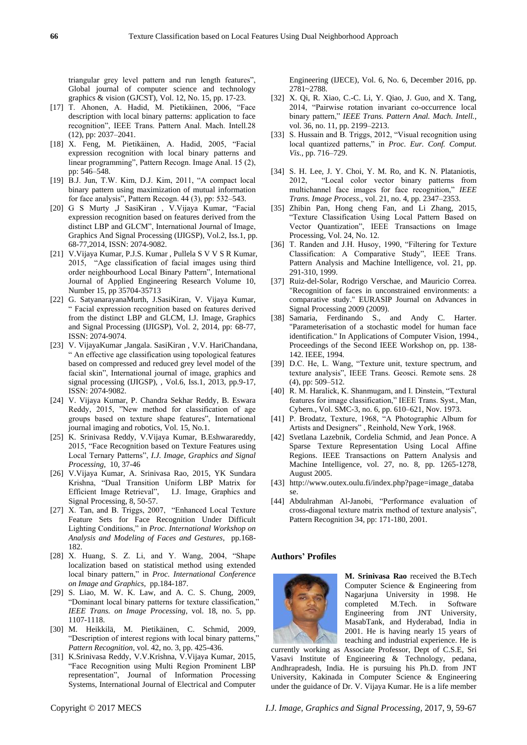triangular grey level pattern and run length features", Global journal of computer science and technology graphics & vision (GJCST), Vol. 12, No. 15, pp. 17-23.

- [17] T. Ahonen, A. Hadid, M. Pietikäinen, 2006, "Face description with local binary patterns: application to face recognition", IEEE Trans. Pattern Anal. Mach. Intell.28 (12), pp: 2037–2041.
- [18] X. Feng, M. Pietikäinen, A. Hadid, 2005, "Facial expression recognition with local binary patterns and linear programming", Pattern Recogn. Image Anal. 15 (2), pp: 546–548.
- [19] B.J. Jun, T.W. Kim, D.J. Kim, 2011, "A compact local binary pattern using maximization of mutual information for face analysis", Pattern Recogn. 44 (3), pp: 532–543.
- [20] G S Murty ,J SasiKiran , V.Vijaya Kumar, "Facial expression recognition based on features derived from the distinct LBP and GLCM", International Journal of Image, Graphics And Signal Processing (IJIGSP), Vol.2, Iss.1, pp. 68-77,2014, ISSN: 2074-9082.
- [21] V.Vijaya Kumar, P.J.S. Kumar , Pullela S V V S R Kumar, 2015, "Age classification of facial images using third order neighbourhood Local Binary Pattern", International Journal of Applied Engineering Research Volume 10, Number 15, pp 35704-35713
- [22] G. SatyanarayanaMurth, J.SasiKiran, V. Vijaya Kumar, " Facial expression recognition based on features derived from the distinct LBP and GLCM, I.J. Image, Graphics and Signal Processing (IJIGSP), Vol. 2, 2014, pp: 68-77, ISSN: 2074-9074.
- [23] V. VijayaKumar ,Jangala. SasiKiran , V.V. HariChandana, " An effective age classification using topological features based on compressed and reduced grey level model of the facial skin", International journal of image, graphics and signal processing (IJIGSP), , Vol.6, Iss.1, 2013, pp.9-17, ISSN: 2074-9082.
- [24] V. Vijaya Kumar, P. Chandra Sekhar Reddy, B. Eswara Reddy, 2015, "New method for classification of age groups based on texture shape features", International journal imaging and robotics, Vol. 15, No.1.
- [25] K. Srinivasa Reddy, V.Vijaya Kumar, B.Eshwarareddy, 2015, "Face Recognition based on Texture Features using Local Ternary Patterns", *I.J. Image, Graphics and Signal Processing,* 10, 37-46
- [26] V.Vijaya Kumar, A. Srinivasa Rao, 2015, YK Sundara Krishna, "Dual Transition Uniform LBP Matrix for Efficient Image Retrieval", I.J. Image, Graphics and Signal Processing, 8, 50-57.
- [27] X. Tan, and B. Triggs, 2007, "Enhanced Local Texture Feature Sets for Face Recognition Under Difficult Lighting Conditions," in *Proc. International Workshop on Analysis and Modeling of Faces and Gestures*, pp.168- 182.
- [28] X. Huang, S. Z. Li, and Y. Wang, 2004, "Shape localization based on statistical method using extended local binary pattern," in *Proc. International Conference on Image and Graphics*, pp.184-187.
- [29] S. Liao, M. W. K. Law, and A. C. S. Chung, 2009, "Dominant local binary patterns for texture classification," *IEEE Trans. on Image Processing*, vol. 18, no. 5, pp. 1107-1118.
- [30] M. Heikkilä, M. Pietikäinen, C. Schmid, 2009, "Description of interest regions with local binary patterns," *Pattern Recognition*, vol. 42, no. 3, pp. 425-436.
- [31] K.Srinivasa Reddy, V.V.Krishna, V.Vijaya Kumar, 2015, "Face Recognition using Multi Region Prominent LBP representation", Journal of Information Processing Systems, International Journal of Electrical and Computer

Engineering (IJECE), Vol. 6, No. 6, December 2016, pp. 2781~2788.

- [32] X. Qi, R. Xiao, C.-C. Li, Y. Qiao, J. Guo, and X. Tang, 2014, "Pairwise rotation invariant co-occurrence local binary pattern," *IEEE Trans. Pattern Anal. Mach. Intell.*, vol. 36, no. 11, pp. 2199–2213.
- [33] S. Hussain and B. Triggs, 2012, "Visual recognition using local quantized patterns," in *Proc. Eur. Conf. Comput. Vis.*, pp. 716–729.
- [34] S. H. Lee, J. Y. Choi, Y. M. Ro, and K. N. Plataniotis, 2012, "Local color vector binary patterns from multichannel face images for face recognition," *IEEE Trans. Image Process.*, vol. 21, no. 4, pp. 2347–2353.
- [35] Zhibin Pan, Hong cheng Fan, and Li Zhang, 2015, "Texture Classification Using Local Pattern Based on Vector Quantization", IEEE Transactions on Image Processing, Vol. 24, No. 12.
- [36] T. Randen and J.H. Husoy, 1990, "Filtering for Texture Classification: A Comparative Study", IEEE Trans. Pattern Analysis and Machine Intelligence, vol. 21, pp. 291-310, 1999.
- [37] Ruiz-del-Solar, Rodrigo Verschae, and Mauricio Correa. "Recognition of faces in unconstrained environments: a comparative study." EURASIP Journal on Advances in Signal Processing 2009 (2009).
- [38] Samaria, Ferdinando S., and Andy C. Harter. "Parameterisation of a stochastic model for human face identification." In Applications of Computer Vision, 1994., Proceedings of the Second IEEE Workshop on, pp. 138- 142. IEEE, 1994.
- [39] D.C. He, L. Wang, "Texture unit, texture spectrum, and texture analysis", IEEE Trans. Geosci. Remote sens. 28 (4), pp: 509–512.
- [40] R. M. Haralick, K. Shanmugam, and I. Dinstein, "Textural features for image classification," IEEE Trans. Syst., Man, Cybern., Vol. SMC-3, no. 6, pp. 610–621, Nov. 1973.
- [41] P. Brodatz, Texture, 1968, "A Photographic Album for Artists and Designers" , Reinhold, New York, 1968.
- [42] Svetlana Lazebnik, Cordelia Schmid, and Jean Ponce. A Sparse Texture Representation Using Local Affine Regions. IEEE Transactions on Pattern Analysis and Machine Intelligence, vol. 27, no. 8, pp. 1265-1278, August 2005.
- [43] http://www.outex.oulu.fi/index.php?page=image\_databa se.
- [44] Abdulrahman Al-Janobi, "Performance evaluation of cross-diagonal texture matrix method of texture analysis", Pattern Recognition 34, pp: 171-180, 2001.

#### **Authors' Profiles**



**M. Srinivasa Rao** received the B.Tech Computer Science & Engineering from Nagarjuna University in 1998. He completed M.Tech. in Software Engineering from JNT University, MasabTank, and Hyderabad, India in 2001. He is having nearly 15 years of teaching and industrial experience. He is

currently working as Associate Professor, Dept of C.S.E, Sri Vasavi Institute of Engineering & Technology, pedana, Andhrapradesh, India. He is pursuing his Ph.D. from JNT University, Kakinada in Computer Science & Engineering under the guidance of Dr. V. Vijaya Kumar. He is a life member